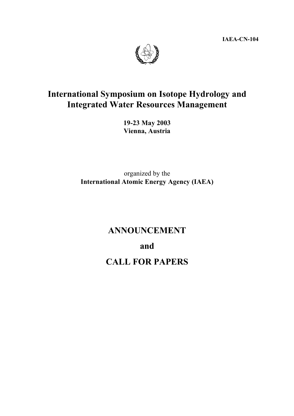**IAEA-CN-104** 



# **International Symposium on Isotope Hydrology and Integrated Water Resources Management**

**19-23 May 2003 Vienna, Austria** 

organized by the **International Atomic Energy Agency (IAEA)** 

## **ANNOUNCEMENT**

**and** 

**CALL FOR PAPERS**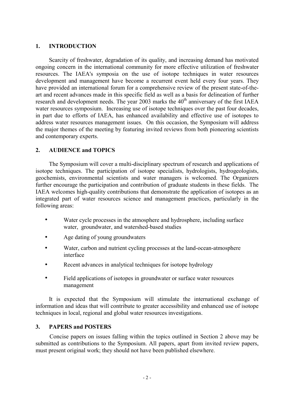### **1. INTRODUCTION**

 Scarcity of freshwater, degradation of its quality, and increasing demand has motivated ongoing concern in the international community for more effective utilization of freshwater resources. The IAEA's symposia on the use of isotope techniques in water resources development and management have become a recurrent event held every four years. They have provided an international forum for a comprehensive review of the present state-of-theart and recent advances made in this specific field as well as a basis for delineation of further research and development needs. The year 2003 marks the  $40<sup>th</sup>$  anniversary of the first IAEA water resources symposium. Increasing use of isotope techniques over the past four decades, in part due to efforts of IAEA, has enhanced availability and effective use of isotopes to address water resources management issues. On this occasion, the Symposium will address the major themes of the meeting by featuring invited reviews from both pioneering scientists and contemporary experts.

## **2. AUDIENCE and TOPICS**

 The Symposium will cover a multi-disciplinary spectrum of research and applications of isotope techniques. The participation of isotope specialists, hydrologists, hydrogeologists, geochemists, environmental scientists and water managers is welcomed. The Organizers further encourage the participation and contribution of graduate students in these fields. The IAEA welcomes high-quality contributions that demonstrate the application of isotopes as an integrated part of water resources science and management practices, particularly in the following areas:

- Water cycle processes in the atmosphere and hydrosphere, including surface water, groundwater, and watershed-based studies
- Age dating of young groundwaters
- Water, carbon and nutrient cycling processes at the land-ocean-atmosphere interface
- Recent advances in analytical techniques for isotope hydrology
- Field applications of isotopes in groundwater or surface water resources management

 It is expected that the Symposium will stimulate the international exchange of information and ideas that will contribute to greater accessibility and enhanced use of isotope techniques in local, regional and global water resources investigations.

#### **3. PAPERS and POSTERS**

 Concise papers on issues falling within the topics outlined in Section 2 above may be submitted as contributions to the Symposium. All papers, apart from invited review papers, must present original work; they should not have been published elsewhere.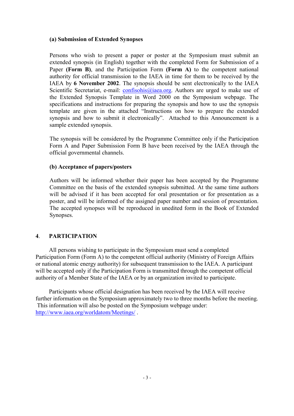#### **(a) Submission of Extended Synopses**

Persons who wish to present a paper or poster at the Symposium must submit an extended synopsis (in English) together with the completed Form for Submission of a Paper **(Form B)**, and the Participation Form **(Form A)** to the competent national authority for official transmission to the IAEA in time for them to be received by the IAEA by **6 November 2002**. The synopsis should be sent electronically to the IAEA Scientific Secretariat, e-mail: confisohis@iaea.org. Authors are urged to make use of the Extended Synopsis Template in Word 2000 on the Symposium webpage. The specifications and instructions for preparing the synopsis and how to use the synopsis template are given in the attached "Instructions on how to prepare the extended synopsis and how to submit it electronically". Attached to this Announcement is a sample extended synopsis.

The synopsis will be considered by the Programme Committee only if the Participation Form A and Paper Submission Form B have been received by the IAEA through the official governmental channels.

## **(b) Acceptance of papers/posters**

Authors will be informed whether their paper has been accepted by the Programme Committee on the basis of the extended synopsis submitted. At the same time authors will be advised if it has been accepted for oral presentation or for presentation as a poster, and will be informed of the assigned paper number and session of presentation. The accepted synopses will be reproduced in unedited form in the Book of Extended Synopses.

## **4**. **PARTICIPATION**

All persons wishing to participate in the Symposium must send a completed Participation Form (Form A) to the competent official authority (Ministry of Foreign Affairs or national atomic energy authority) for subsequent transmission to the IAEA. A participant will be accepted only if the Participation Form is transmitted through the competent official authority of a Member State of the IAEA or by an organization invited to participate.

Participants whose official designation has been received by the IAEA will receive further information on the Symposium approximately two to three months before the meeting. This information will also be posted on the Symposium webpage under: http://www.iaea.org/worldatom/Meetings/ .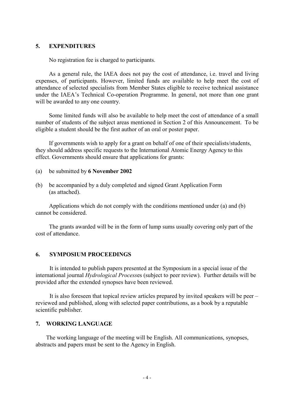#### **5. EXPENDITURES**

No registration fee is charged to participants.

As a general rule, the IAEA does not pay the cost of attendance, i.e. travel and living expenses, of participants. However, limited funds are available to help meet the cost of attendance of selected specialists from Member States eligible to receive technical assistance under the IAEA's Technical Co-operation Programme. In general, not more than one grant will be awarded to any one country.

Some limited funds will also be available to help meet the cost of attendance of a small number of students of the subject areas mentioned in Section 2 of this Announcement. To be eligible a student should be the first author of an oral or poster paper.

If governments wish to apply for a grant on behalf of one of their specialists/students, they should address specific requests to the International Atomic Energy Agency to this effect. Governments should ensure that applications for grants:

- (a) be submitted by **6 November 2002**
- (b) be accompanied by a duly completed and signed Grant Application Form (as attached).

Applications which do not comply with the conditions mentioned under (a) and (b) cannot be considered.

The grants awarded will be in the form of lump sums usually covering only part of the cost of attendance.

#### **6. SYMPOSIUM PROCEEDINGS**

 It is intended to publish papers presented at the Symposium in a special issue of the international journal *Hydrological Process*es (subject to peer review). Further details will be provided after the extended synopses have been reviewed.

 It is also foreseen that topical review articles prepared by invited speakers will be peer – reviewed and published, along with selected paper contributions, as a book by a reputable scientific publisher.

#### **7. WORKING LANGUAGE**

The working language of the meeting will be English. All communications, synopses, abstracts and papers must be sent to the Agency in English.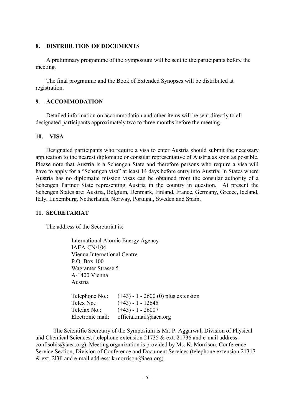#### **8. DISTRIBUTION OF DOCUMENTS**

A preliminary programme of the Symposium will be sent to the participants before the meeting.

The final programme and the Book of Extended Synopses will be distributed at registration.

## **9**. **ACCOMMODATION**

Detailed information on accommodation and other items will be sent directly to all designated participants approximately two to three months before the meeting.

#### **10. VISA**

Designated participants who require a visa to enter Austria should submit the necessary application to the nearest diplomatic or consular representative of Austria as soon as possible. Please note that Austria is a Schengen State and therefore persons who require a visa will have to apply for a "Schengen visa" at least 14 days before entry into Austria. In States where Austria has no diplomatic mission visas can be obtained from the consular authority of a Schengen Partner State representing Austria in the country in question*.* At present the Schengen States are: Austria, Belgium, Denmark, Finland, France, Germany, Greece, Iceland, Italy, Luxemburg, Netherlands, Norway, Portugal, Sweden and Spain.

#### **11. SECRETARIAT**

The address of the Secretariat is:

International Atomic Energy Agency IAEA-CN/104 Vienna International Centre P.O. Box 100 Wagramer Strasse 5 A-1400 Vienna Austria Telephone No.:  $(+43) - 1 - 2600(0)$  plus extension Telex No.:  $(+43) - 1 - 12645$ Telefax No.: (+43) - 1 - 26007 Electronic mail: official.mail@iaea.org

The Scientific Secretary of the Symposium is Mr. P. Aggarwal, Division of Physical and Chemical Sciences, (telephone extension 21735 & ext. 21736 and e-mail address: confisohis@iaea.org). Meeting organization is provided by Ms. K. Morrison, Conference Service Section, Division of Conference and Document Services (telephone extension 21317 & ext. 2l3ll and e-mail address: k.morrison@iaea.org).